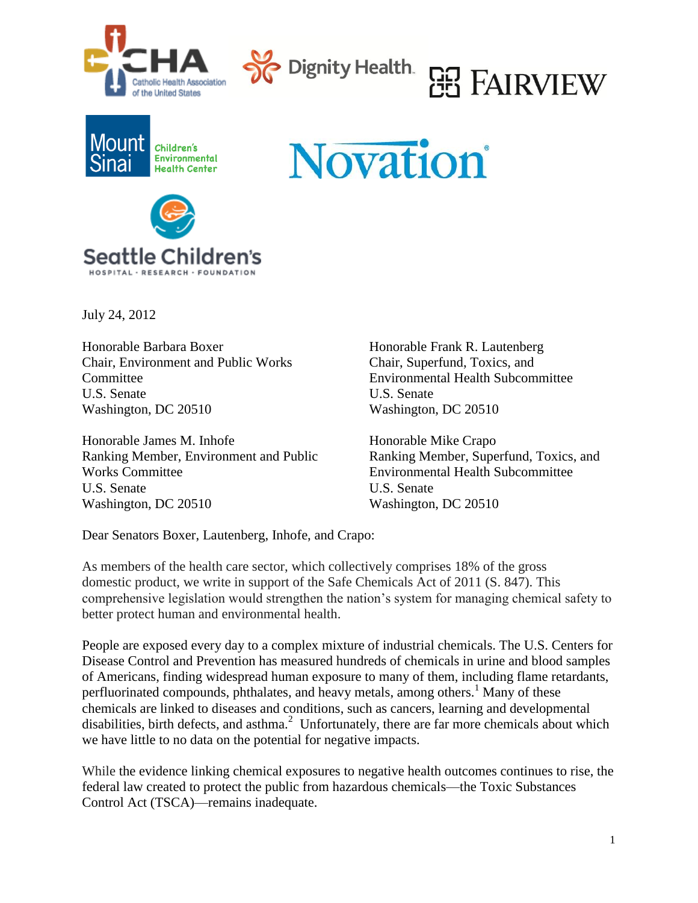







**Novation** 

July 24, 2012

Honorable Barbara Boxer Honorable Frank R. Lautenberg Chair, Environment and Public Works Chair, Superfund, Toxics, and Committee Environmental Health Subcommittee U.S. Senate U.S. Senate Washington, DC 20510 Washington, DC 20510

Honorable James M. Inhofe Honorable Mike Crapo Ranking Member, Environment and Public Ranking Member, Superfund, Toxics, and Works Committee Environmental Health Subcommittee U.S. Senate U.S. Senate Washington, DC 20510 Washington, DC 20510

Dear Senators Boxer, Lautenberg, Inhofe, and Crapo:

As members of the health care sector, which collectively comprises 18% of the gross domestic product, we write in support of the Safe Chemicals Act of 2011 (S. 847). This comprehensive legislation would strengthen the nation's system for managing chemical safety to better protect human and environmental health.

People are exposed every day to a complex mixture of industrial chemicals. The U.S. Centers for Disease Control and Prevention has measured hundreds of chemicals in urine and blood samples of Americans, finding widespread human exposure to many of them, including flame retardants, perfluorinated compounds, phthalates, and heavy metals, among others. <sup>1</sup> Many of these chemicals are linked to diseases and conditions, such as cancers, learning and developmental disabilities, birth defects, and asthma.<sup>2</sup> Unfortunately, there are far more chemicals about which we have little to no data on the potential for negative impacts.

While the evidence linking chemical exposures to negative health outcomes continues to rise, the federal law created to protect the public from hazardous chemicals—the Toxic Substances Control Act (TSCA)—remains inadequate.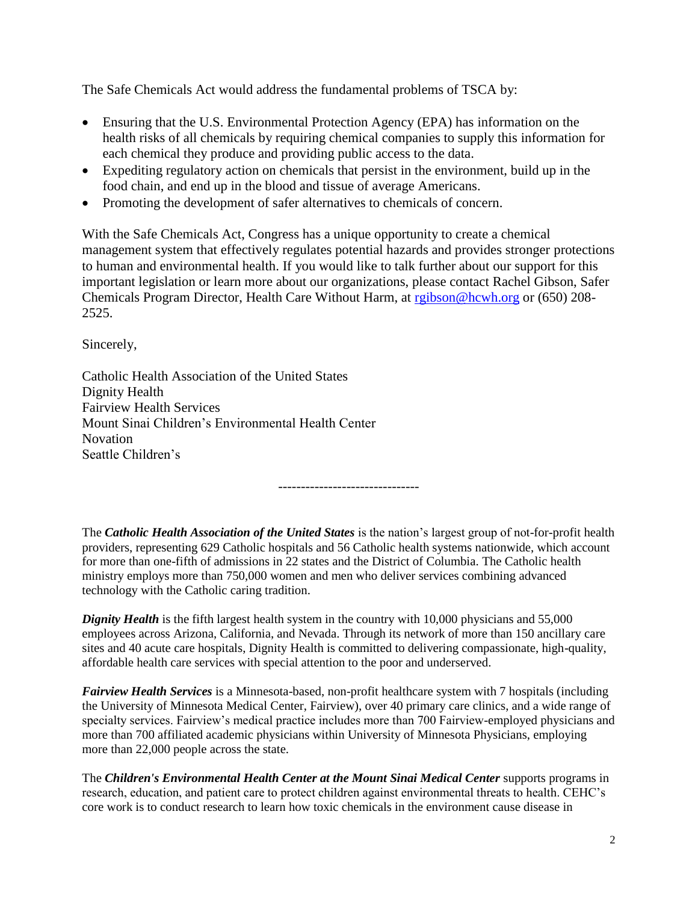The Safe Chemicals Act would address the fundamental problems of TSCA by:

- Ensuring that the U.S. Environmental Protection Agency (EPA) has information on the health risks of all chemicals by requiring chemical companies to supply this information for each chemical they produce and providing public access to the data.
- Expediting regulatory action on chemicals that persist in the environment, build up in the food chain, and end up in the blood and tissue of average Americans.
- Promoting the development of safer alternatives to chemicals of concern.

With the Safe Chemicals Act, Congress has a unique opportunity to create a chemical management system that effectively regulates potential hazards and provides stronger protections to human and environmental health. If you would like to talk further about our support for this important legislation or learn more about our organizations, please contact Rachel Gibson, Safer Chemicals Program Director, Health Care Without Harm, at [rgibson@hcwh.org](mailto:rgibson@hcwh.org) or (650) 208- 2525.

Sincerely,

Catholic Health Association of the United States Dignity Health Fairview Health Services Mount Sinai Children's Environmental Health Center Novation Seattle Children's

-------------------------------

The *Catholic Health Association of the United States* is the nation's largest group of not-for-profit health providers, representing 629 Catholic hospitals and 56 Catholic health systems nationwide, which account for more than one-fifth of admissions in 22 states and the District of Columbia. The Catholic health ministry employs more than 750,000 women and men who deliver services combining advanced technology with the Catholic caring tradition.

*Dignity Health* is the fifth largest health system in the country with 10,000 physicians and 55,000 employees across Arizona, California, and Nevada. Through its network of more than 150 ancillary care sites and 40 acute care hospitals, Dignity Health is committed to delivering compassionate, high-quality, affordable health care services with special attention to the poor and underserved.

*Fairview Health Services* is a Minnesota-based, non-profit healthcare system with 7 hospitals (including the University of Minnesota Medical Center, Fairview), over 40 primary care clinics, and a wide range of specialty services. Fairview's medical practice includes more than 700 Fairview-employed physicians and more than 700 affiliated academic physicians within University of Minnesota Physicians, employing more than 22,000 people across the state.

The *Children's Environmental Health Center at the Mount Sinai Medical Center* supports programs in research, education, and patient care to protect children against environmental threats to health. CEHC's core work is to conduct research to learn how toxic chemicals in the environment cause disease in